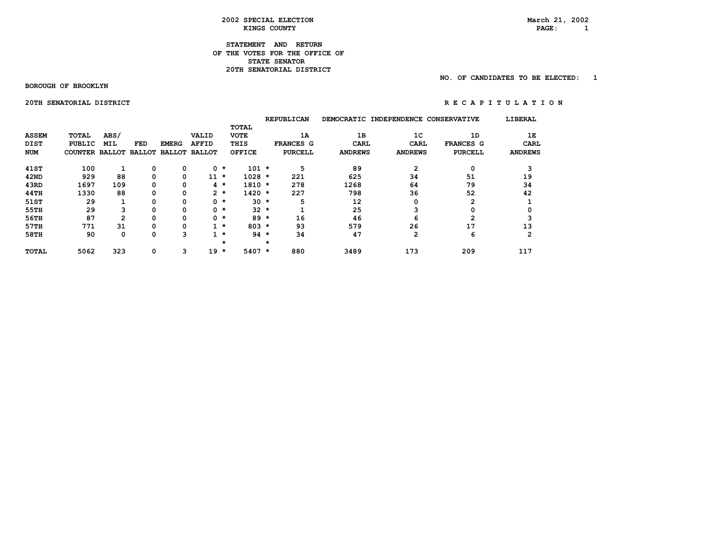#### **STATEMENT AND RETURN OF THE VOTES FOR THE OFFICE OF STATE SENATOR 20TH SENATORIAL DISTRICT**

 **BOROUGH OF BROOKLYN** 

 **NO. OF CANDIDATES TO BE ELECTED: 1** 

 **20THSENATORIALDISTRICT R E C A P I T U L A T I O N** 

|              |                       |            |          |              |                      |           |               |         | <b>REPUBLICAN</b> | <b>DEMOCRATIC</b> | INDEPENDENCE CONSERVATIVE |                | LIBERAL        |
|--------------|-----------------------|------------|----------|--------------|----------------------|-----------|---------------|---------|-------------------|-------------------|---------------------------|----------------|----------------|
|              |                       |            |          |              |                      |           | <b>TOTAL</b>  |         |                   |                   |                           |                |                |
| <b>ASSEM</b> | TOTAL                 | ABS/       |          |              | <b>VALID</b>         |           | <b>VOTE</b>   |         | 1A                | 1B                | 1 <sup>C</sup>            | 1D             | 1Е             |
| DIST         | <b>PUBLIC</b>         | <b>MIL</b> | FED      | <b>EMERG</b> | <b>AFFID</b>         |           | THIS          |         | <b>FRANCES G</b>  | <b>CARL</b>       | CARL                      | FRANCES G      | <b>CARL</b>    |
| <b>NUM</b>   | COUNTER BALLOT BALLOT |            |          |              | <b>BALLOT BALLOT</b> |           | <b>OFFICE</b> |         | <b>PURCELL</b>    | <b>ANDREWS</b>    | <b>ANDREWS</b>            | <b>PURCELL</b> | <b>ANDREWS</b> |
| 41ST         | 100                   |            | 0        | 0            | 0                    | $\star$   | $101 *$       |         | 5                 | 89                | 2                         | 0              | 3              |
| 42ND         | 929                   | 88         | $\Omega$ | 0            | 11                   | $\star$   | $1028 *$      |         | 221               | 625               | 34                        | 51             | 19             |
| 43RD         | 1697                  | 109        | 0        | 0            |                      | 4 *       | $1810 *$      |         | 278               | 1268              | 64                        | 79             | 34             |
| 44TH         | 1330                  | 88         | 0        | 0            |                      | $2 *$     | $1420 *$      |         | 227               | 798               | 36                        | 52             | 42             |
| 51ST         | 29                    |            |          | 0            |                      | $0 *$     | $30 *$        |         | 5                 | 12                | 0                         | 2              |                |
| 55TH         | 29                    | 3          | O        | 0            |                      | $0 *$     | $32 *$        |         |                   | 25                | 3                         | 0              | 0              |
| 56TH         | 87                    | 2          |          | 0            |                      | $0 *$     | $89 *$        |         | 16                | 46                | 6                         | 2              |                |
| 57TH         | 771                   | 31         | 0        | 0            |                      | $1 \star$ | $803 *$       |         | 93                | 579               | 26                        | 17             | 13             |
| 58TH         | 90                    | 0          | 0        | 3            |                      | $1 *$     | $94 *$        |         | 34                | 47                | 2                         | 6              | $\overline{2}$ |
|              |                       |            |          |              |                      | $\star$   |               | $\star$ |                   |                   |                           |                |                |
| <b>TOTAL</b> | 5062                  | 323        | 0        | 3            | 19                   | $\star$   | $5407 *$      |         | 880               | 3489              | 173                       | 209            | 117            |

 $PAGE: 1$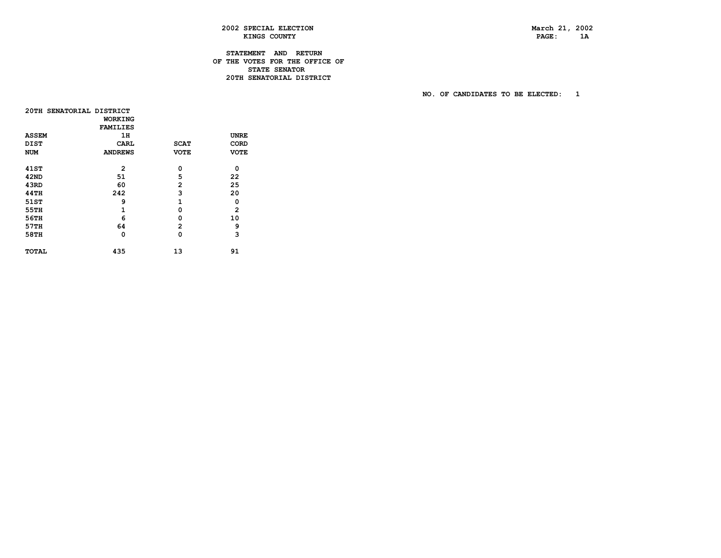PAGE: 1A

# **2002 SPECIAL ELECTION March 21, 2002**  KINGS COUNTY

# **STATEMENT AND RETURN OF THE VOTES FOR THE OFFICE OF STATE SENATOR** STATE SENATOR **20TH SENATORIAL DISTRICT**

| 20TH SENATORIAL DISTRICT |                 |                |                |
|--------------------------|-----------------|----------------|----------------|
|                          | <b>WORKING</b>  |                |                |
|                          | <b>FAMILIES</b> |                |                |
| <b>ASSEM</b>             | 1н              |                | <b>UNRE</b>    |
| <b>DIST</b>              | CARL            | <b>SCAT</b>    | CORD           |
| NUM                      | <b>ANDREWS</b>  | <b>VOTE</b>    | <b>VOTE</b>    |
|                          |                 |                |                |
| 41 ST                    | $\overline{2}$  | 0              | 0              |
| 42ND                     | 51              | 5              | 22             |
| 43RD                     | 60              | $\overline{2}$ | 25             |
| 44TH                     | 242             | 3              | 20             |
| 51ST                     | 9               | $\mathbf{1}$   | 0              |
| 55TH                     | 1               | $\Omega$       | $\overline{2}$ |
| 56TH                     | 6               | 0              | 10             |
| 57TH                     | 64              | 2              | 9              |
| 58TH                     | 0               | 0              | 3              |
|                          |                 |                |                |
| TOTAL                    | 435             | 13             | 91             |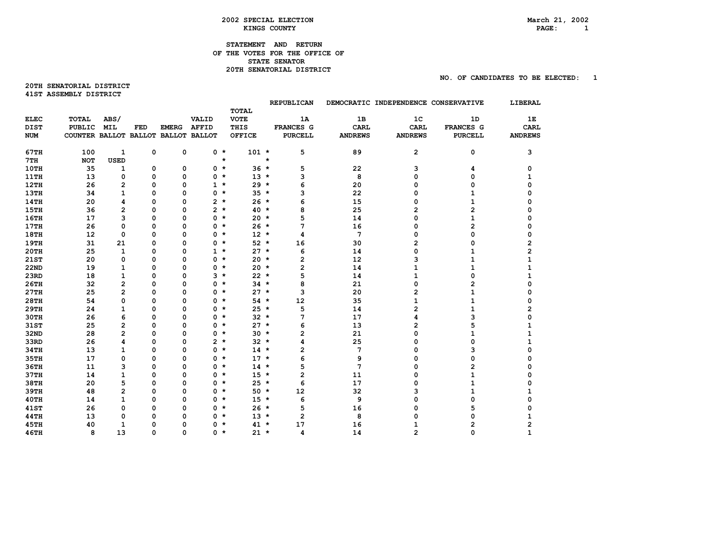# **STATEMENT AND RETURN OF THE VOTES FOR THE OFFICE OF STATE SENATOR 20TH SENATORIAL DISTRICT**

**20TH SENATORIAL DISTRICT 41STASSEMBLYDISTRICT** 

|             |                                     |                |          |              |                |         | <b>TOTAL</b>  |         | <b>REPUBLICAN</b> |                | DEMOCRATIC INDEPENDENCE CONSERVATIVE |                         | LIBERAL        |
|-------------|-------------------------------------|----------------|----------|--------------|----------------|---------|---------------|---------|-------------------|----------------|--------------------------------------|-------------------------|----------------|
| <b>ELEC</b> | <b>TOTAL</b>                        | ABS/           |          |              | VALID          |         | <b>VOTE</b>   |         | 1A                | 1B             | 1 <sup>c</sup>                       | 1D                      | 1E             |
| <b>DIST</b> | PUBLIC                              | <b>MIL</b>     | FED      | <b>EMERG</b> | <b>AFFID</b>   |         | THIS          |         | <b>FRANCES G</b>  | <b>CARL</b>    | <b>CARL</b>                          | FRANCES G               | <b>CARL</b>    |
| <b>NUM</b>  | COUNTER BALLOT BALLOT BALLOT BALLOT |                |          |              |                |         | <b>OFFICE</b> |         | <b>PURCELL</b>    | <b>ANDREWS</b> | <b>ANDREWS</b>                       | <b>PURCELL</b>          | <b>ANDREWS</b> |
|             |                                     |                |          |              |                |         |               |         |                   |                |                                      |                         |                |
| 67TH        | 100                                 | $\mathbf{1}$   | 0        | $\mathbf 0$  | $0 *$          |         | $101 *$       |         | 5                 | 89             | $\mathbf{2}$                         | 0                       | 3              |
| 7TH         | <b>NOT</b>                          | <b>USED</b>    |          |              |                | $\star$ |               | $\star$ |                   |                |                                      |                         |                |
| 10TH        | 35                                  | 1              | 0        | 0            | $0 *$          |         | $36 *$        |         | 5                 | 22             | 3                                    | 4                       | 0              |
| <b>11TH</b> | 13                                  | 0              | 0        | 0            | 0              | $\star$ | $13 *$        |         | 3                 | 8              | 0                                    | 0                       | 1              |
| <b>12TH</b> | 26                                  | $\overline{2}$ | 0        | 0            | $\mathbf{1}$   | $\star$ | $29 *$        |         | 6                 | 20             | 0                                    | 0                       | 0              |
| 13TH        | 34                                  | $\mathbf{1}$   | 0        | 0            | 0              | $\star$ | $35 *$        |         | 3                 | 22             | 0                                    | 1                       | 0              |
| 14TH        | 20                                  | 4              | 0        | 0            | $2 *$          |         | $26 *$        |         | 6                 | 15             | 0                                    | 1                       | 0              |
| <b>15TH</b> | 36                                  | $\overline{2}$ | $\Omega$ | $\Omega$     | $\overline{2}$ | $\star$ | $40*$         |         | 8                 | 25             | $\overline{2}$                       | $\overline{2}$          |                |
| <b>16TH</b> | 17                                  | 3              | 0        | 0            | 0              | $\star$ | $20 *$        |         | 5                 | 14             | 0                                    | $\mathbf{1}$            | 0              |
| <b>17TH</b> | 26                                  | 0              | 0        | 0            | 0              | $\star$ | $26 *$        |         | 7                 | 16             | 0                                    | $\overline{\mathbf{c}}$ | 0              |
| <b>18TH</b> | 12                                  | 0              | 0        | 0            | 0              | $\star$ | $12 *$        |         | 4                 | 7              | 0                                    | 0                       | 0              |
| 19TH        | 31                                  | 21             | 0        | 0            | 0              | $\star$ | $52 *$        |         | 16                | 30             | 2                                    | 0                       | 2              |
| <b>20TH</b> | 25                                  | $\mathbf{1}$   | 0        | 0            | $\mathbf{1}$   | $\star$ | $27 *$        |         | 6                 | 14             | 0                                    | 1                       | 2              |
| 21ST        | 20                                  | 0              | 0        | 0            | 0              | $\star$ | $20 *$        |         | $\overline{2}$    | 12             | 3                                    | 1                       | 1              |
| <b>22ND</b> | 19                                  | $\mathbf{1}$   | $\Omega$ | $\Omega$     | 0              | $\star$ | $20 *$        |         | $\mathbf{2}$      | 14             | $\mathbf{1}$                         | $\mathbf{1}$            | 1              |
| 23RD        | 18                                  | $\mathbf{1}$   | 0        | 0            | 3              | $\star$ | $22 *$        |         | 5                 | 14             | 1                                    | 0                       | 1              |
| 26TH        | 32                                  | $\mathbf{2}$   | 0        | 0            | 0              | $\star$ | $34 *$        |         | 8                 | 21             | 0                                    | 2                       | 0              |
| 27TH        | 25                                  | $\overline{2}$ | 0        | 0            | 0              | $\star$ | $27 *$        |         | 3                 | 20             | 2                                    | $\mathbf{1}$            | 0              |
| 28TH        | 54                                  | $\mathbf 0$    | 0        | 0            | 0              | $\star$ | $54 *$        |         | 12                | 35             | $\mathbf{1}$                         | 1                       | 0              |
| <b>29TH</b> | 24                                  | 1              | $\Omega$ | 0            | 0              | $\star$ | $25 *$        |         | 5                 | 14             | 2                                    | 1                       | 2              |
| 30TH        | 26                                  | 6              | 0        | 0            | 0              | $\star$ | $32 *$        |         | 7                 | 17             | 4                                    | 3                       | 0              |
| 31ST        | 25                                  | 2              | $\Omega$ | $\Omega$     | 0              | $\star$ | $27 *$        |         | 6                 | 13             | 2                                    | 5                       | 1              |
| 32ND        | 28                                  | $\overline{2}$ | 0        | 0            | 0              | $\star$ | $30 *$        |         | $\overline{2}$    | 21             | 0                                    | $\mathbf{1}$            | 1              |
| 33RD        | 26                                  | 4              | 0        | 0            | $\overline{2}$ | $\star$ | $32 *$        |         | 4                 | 25             | 0                                    | 0                       | 1              |
| 34TH        | 13                                  | $\mathbf{1}$   | 0        | 0            | 0              | $\star$ | $14 *$        |         | $\mathbf{2}$      | 7              | 0                                    | 3                       | 0              |
| 35TH        | 17                                  | $\mathbf 0$    | 0        | 0            | 0              | $\star$ | $17 *$        |         | 6                 | 9              | 0                                    | 0                       | 0              |
| 36TH        | 11                                  | 3              | 0        | 0            | 0              | $\star$ | $14 *$        |         | 5                 | 7              | 0                                    | $\overline{2}$          | 0              |
| 37TH        | 14                                  | $\mathbf{1}$   | 0        | 0            | 0              | $\star$ | $15 *$        |         | $\overline{2}$    | 11             | 0                                    | $\mathbf{1}$            | 0              |
| 38TH        | 20                                  | 5              | $\Omega$ | $\Omega$     | 0              | $\star$ | $25 *$        |         | 6                 | 17             | 0                                    | $\mathbf{1}$            |                |
| 39TH        | 48                                  | $\overline{2}$ | 0        | 0            | 0              | $\star$ | $50 *$        |         | 12                | 32             | 3                                    | 1                       |                |
| 40TH        | 14                                  | $\mathbf{1}$   | 0        | 0            | 0              | $\star$ | $15 *$        |         | 6                 | 9              | 0                                    | 0                       | 0              |
| <b>41ST</b> | 26                                  | $\mathbf 0$    | 0        | 0            | 0              | $\star$ | $26 *$        |         | 5                 | 16             | 0                                    | 5                       |                |
| 44TH        | 13                                  | $\Omega$       | 0        | 0            | 0              | $\star$ | $13 *$        |         | $\overline{2}$    | 8              | 0                                    | 0                       |                |
| <b>45TH</b> | 40                                  | 1              | 0        | 0            | 0              | $\star$ | $41 *$        |         | 17                | 16             |                                      | 2                       |                |
| 46TH        | 8                                   | 13             | 0        | $\Omega$     | 0              | $\star$ | $21 \star$    |         | 4                 | 14             | っ                                    | n                       |                |
|             |                                     |                |          |              |                |         |               |         |                   |                |                                      |                         |                |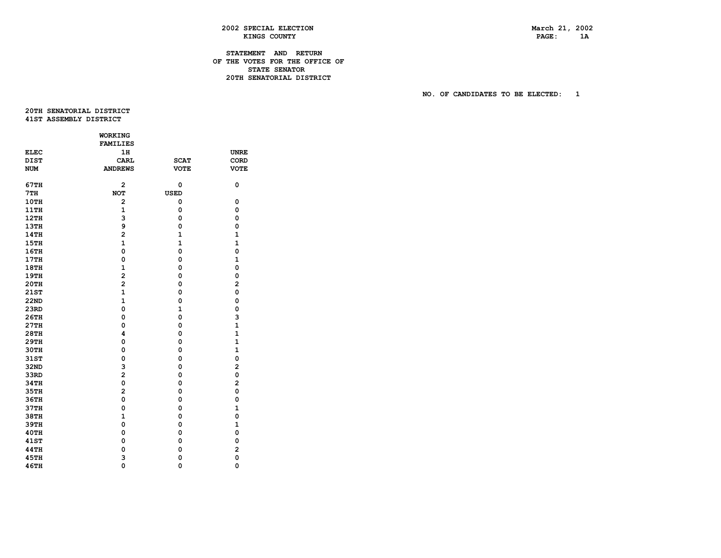PAGE: 1A

# **2002 SPECIAL ELECTION March 21, 2002 KINGS COUNTY**

# **STATEMENT AND RETURN OF THE VOTES FOR THE OFFICE OF STATE SENATOR 20TH SENATORIAL DISTRICT**

 **NO. OF CANDIDATES TO BE ELECTED: 1** 

 **20THSENATORIALDISTRICT 41ST ASSEMBLY DISTRICT** 

|             | <b>WORKING</b>  |              |                |
|-------------|-----------------|--------------|----------------|
|             | <b>FAMILIES</b> |              |                |
| <b>ELEC</b> | 1H              |              | <b>UNRE</b>    |
| <b>DIST</b> | <b>CARL</b>     | <b>SCAT</b>  | CORD           |
| <b>NUM</b>  | <b>ANDREWS</b>  | <b>VOTE</b>  | <b>VOTE</b>    |
| <b>67TH</b> | $\overline{2}$  | 0            | 0              |
| 7TH         | <b>NOT</b>      | <b>USED</b>  |                |
| 10TH        | $\overline{2}$  | 0            | 0              |
| 11TH        | $\mathbf{1}$    | 0            | 0              |
| 12TH        | 3               | 0            | $\mathbf 0$    |
| <b>13TH</b> | 9               | 0            | $\mathbf 0$    |
| 14TH        | $\overline{a}$  | $\mathbf{1}$ | $\mathbf{1}$   |
| 15TH        | $\mathbf{1}$    | $\mathbf{1}$ | $\mathbf{1}$   |
| 16TH        | $\mathbf 0$     | 0            | $\mathbf 0$    |
| 17TH        | $\mathbf 0$     | 0            | $\mathbf{1}$   |
| <b>18TH</b> | $\mathbf{1}$    | 0            | 0              |
| <b>19TH</b> | $\overline{a}$  | 0            | $\mathbf 0$    |
| 20TH        | $\overline{a}$  | 0            | $\overline{a}$ |
| 21ST        | $\mathbf{1}$    | 0            | $\mathbf 0$    |
| <b>22ND</b> | $\mathbf{1}$    | 0            | $\mathbf 0$    |
| 23RD        | 0               | $\mathbf{1}$ | $\mathbf 0$    |
| 26TH        | 0               | 0            | 3              |
| 27TH        | 0               | 0            | $\mathbf{1}$   |
| 28TH        | 4               | 0            | $\mathbf{1}$   |
| 29TH        | $\mathbf 0$     | 0            | $\mathbf{1}$   |
| 30TH        | 0               | 0            | $\mathbf{1}$   |
| 31ST        | 0               | 0            | $\mathbf 0$    |
| 32ND        | 3               | $\mathbf 0$  | $\overline{a}$ |
| 33RD        | $\overline{a}$  | 0            | 0              |
| 34TH        | o               | 0            | $\overline{a}$ |
| 35TH        | $\overline{a}$  | 0            | 0              |
| 36TH        | 0               | 0            | $\mathbf 0$    |
| 37TH        | $\mathbf 0$     | 0            | $\mathbf{1}$   |
| 38TH        | $\mathbf{1}$    | 0            | $\mathbf 0$    |
| 39TH        | $\mathbf 0$     | 0            | $\mathbf{1}$   |
| 40TH        | 0               | 0            | 0              |
| <b>41ST</b> | 0               | 0            | 0              |
| <b>44TH</b> | 0               | 0            | $\overline{a}$ |
| <b>45TH</b> | 3               | 0            | o              |
| 46TH        | $\mathbf 0$     | $\mathbf 0$  | $\mathbf 0$    |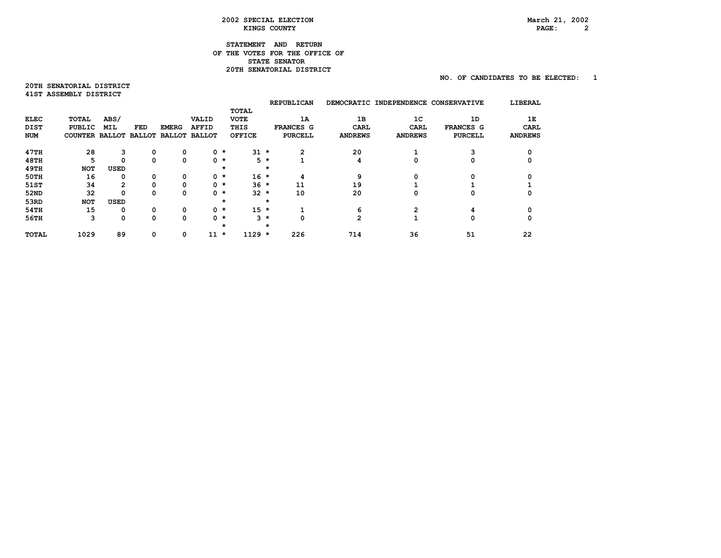# $PAGE: 2$

# **STATEMENT AND RETURN OF THE VOTES FOR THE OFFICE OF STATE SENATOR 20TH SENATORIAL DISTRICT**

# **NO. OF CANDIDATES TO BE ELECTED: 1**

**20TH SENATORIAL DISTRICT 41STASSEMBLYDISTRICT** 

|              |                |                |               |              |                      |         |               |         | <b>REPUBLICAN</b> | <b>DEMOCRATIC</b> | <b>INDEPENDENCE</b> | <b>CONSERVATIVE</b> | LIBERAL        |
|--------------|----------------|----------------|---------------|--------------|----------------------|---------|---------------|---------|-------------------|-------------------|---------------------|---------------------|----------------|
|              |                |                |               |              |                      |         | <b>TOTAL</b>  |         |                   |                   |                     |                     |                |
| <b>ELEC</b>  | TOTAL          | ABS/           |               |              | <b>VALID</b>         |         | <b>VOTE</b>   |         | 1A                | 1B                | 1 <sup>C</sup>      | 1D                  | 1Е             |
| <b>DIST</b>  | PUBLIC         | <b>MIL</b>     | FED           | <b>EMERG</b> | <b>AFFID</b>         |         | THIS          |         | FRANCES G         | <b>CARL</b>       | <b>CARL</b>         | FRANCES G           | <b>CARL</b>    |
| <b>NUM</b>   | COUNTER BALLOT |                | <b>BALLOT</b> |              | <b>BALLOT BALLOT</b> |         | <b>OFFICE</b> |         | <b>PURCELL</b>    | <b>ANDREWS</b>    | <b>ANDREWS</b>      | <b>PURCELL</b>      | <b>ANDREWS</b> |
| 47TH         | 28             | 3              | 0             | 0            |                      | $0$ $*$ | $31 \star$    |         | $\mathbf{2}$      | 20                |                     | 3                   |                |
| 48TH         | 5              | 0              | $\Omega$      | 0            |                      | $0$ $*$ |               | $5*$    |                   | 4                 | 0                   | 0                   |                |
| <b>49TH</b>  | <b>NOT</b>     | <b>USED</b>    |               |              |                      | $\star$ |               | *       |                   |                   |                     |                     |                |
| 50TH         | 16             | 0              | 0             | 0            |                      | $0$ $*$ | $16 *$        |         | 4                 | 9                 | 0                   | 0                   |                |
| 51ST         | 34             | $\overline{2}$ | $\Omega$      | 0            |                      | $0$ $*$ | $36 *$        |         | 11                | 19                |                     |                     |                |
| 52ND         | 32             | 0              | $\Omega$      | 0            |                      | $0$ $*$ | $32 *$        |         | 10                | 20                | 0                   | 0                   |                |
| 53RD         | <b>NOT</b>     | USED           |               |              |                      | $\star$ |               | $\star$ |                   |                   |                     |                     |                |
| 54TH         | 15             | 0              | 0             | 0            |                      | $0$ $*$ | $15 *$        |         |                   | 6                 | 2                   | 4                   |                |
| 56TH         | 3              | 0              | $\Omega$      | 0            |                      | $0$ $*$ | з             | $\star$ | 0                 | 2                 |                     | 0                   |                |
|              |                |                |               |              |                      | $\star$ |               | $\star$ |                   |                   |                     |                     |                |
| <b>TOTAL</b> | 1029           | 89             | 0             | 0            | 11                   | $\star$ | $1129 *$      |         | 226               | 714               | 36                  | 51                  | 22             |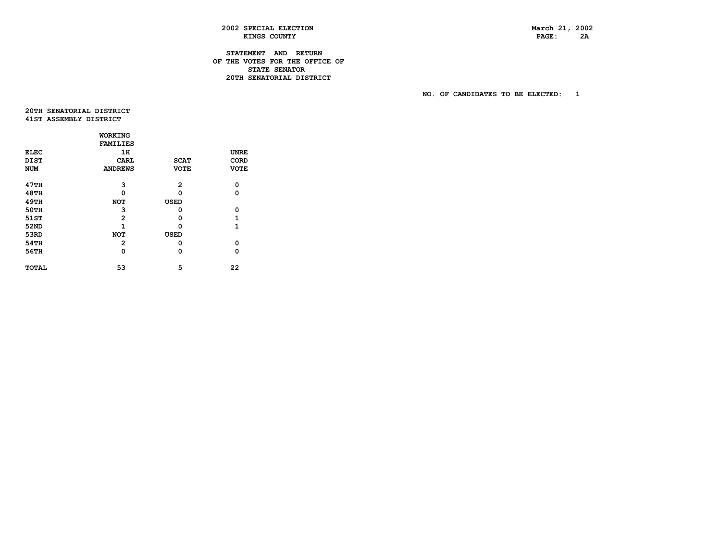PAGE: 2A

# **2002 SPECIAL ELECTION March 21, 2002 KINGS COUNTY**

# **STATEMENT AND RETURN OF THE VOTES FOR THE OFFICE OF STATE SENATOR 20TH SENATORIAL DISTRICT**

 **NO. OF CANDIDATES TO BE ELECTED: 1** 

 **20THSENATORIALDISTRICT 41STASSEMBLYDISTRICT** 

|             | WORKING         |             |              |
|-------------|-----------------|-------------|--------------|
|             | <b>FAMILIES</b> |             |              |
| <b>ELEC</b> | 1н              |             | <b>UNRE</b>  |
| <b>DIST</b> | CARL            | <b>SCAT</b> | CORD         |
| NUM         | <b>ANDREWS</b>  | <b>VOTE</b> | <b>VOTE</b>  |
| 47TH        | 3               | 2           | 0            |
| 48TH        | Ω               | o           | 0            |
| <b>49TH</b> | <b>NOT</b>      | USED        |              |
| 50TH        | 3               | ٥           | 0            |
| 51ST        | $\overline{2}$  | o           | 1            |
| 52ND        | 1               | ŋ           | $\mathbf{1}$ |
| 53RD        | <b>NOT</b>      | USED        |              |
| <b>54TH</b> | 2               | ٥           | 0            |
| 56TH        | 0               | 0           | 0            |
| TOTAL       | 53              | 5           | 22           |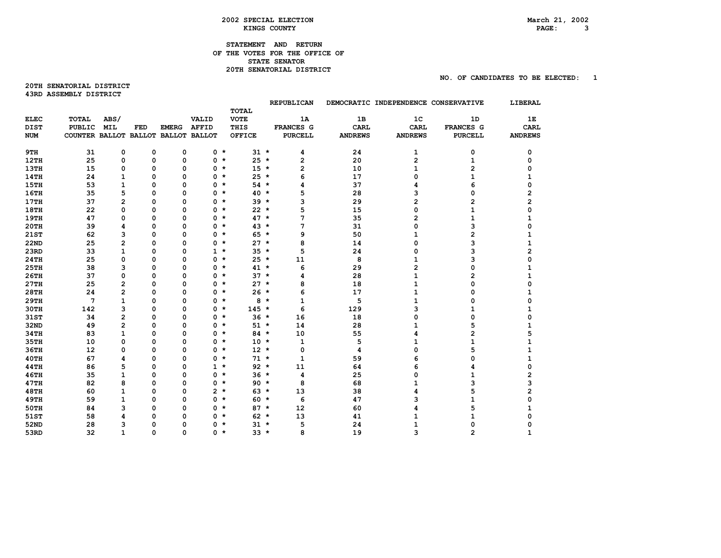#### **2002 SPECIAL ELECTION March 21, 2002 EXINGS COUNTY** ALL RESOLUTIONS AND RESOLUTION COUNTY AND RESOLUTION COUNTY AND RESOLUTION COUNTY AND RESOLUTION COUNTY AND RESOLUTION CONTRACT AND RESOLUTION CONTRACT OF A SAMPLE OF A SAMPLE OF A SAMPLE OF A SAMPLE OF A S

# **STATEMENT AND RETURN OF THE VOTES FOR THE OFFICE OF STATE SENATOR 20TH SENATORIAL DISTRICT**

**20TH SENATORIAL DISTRICT 43RD ASSEMBLY DISTRICT** 

|             |                                     |                         |     |              |                |         |               |         | <b>REPUBLICAN</b>       |                | DEMOCRATIC INDEPENDENCE CONSERVATIVE |                | LIBERAL        |
|-------------|-------------------------------------|-------------------------|-----|--------------|----------------|---------|---------------|---------|-------------------------|----------------|--------------------------------------|----------------|----------------|
|             |                                     |                         |     |              |                |         | <b>TOTAL</b>  |         |                         |                |                                      |                |                |
| <b>ELEC</b> | TOTAL                               | ABS/                    |     |              | VALID          |         | <b>VOTE</b>   |         | 1A                      | 1B             | 1 <sup>c</sup>                       | 1D             | 1Е             |
| <b>DIST</b> | <b>PUBLIC</b>                       | <b>MIL</b>              | FED | <b>EMERG</b> | <b>AFFID</b>   |         | THIS          |         | FRANCES G               | <b>CARL</b>    | <b>CARL</b>                          | FRANCES G      | <b>CARL</b>    |
| <b>NUM</b>  | COUNTER BALLOT BALLOT BALLOT BALLOT |                         |     |              |                |         | <b>OFFICE</b> |         | <b>PURCELL</b>          | <b>ANDREWS</b> | <b>ANDREWS</b>                       | <b>PURCELL</b> | <b>ANDREWS</b> |
| 9TH         | 31                                  | 0                       | 0   | 0            | $0 *$          |         | $31 \star$    |         | 4                       | 24             | 1                                    | 0              | 0              |
| 12TH        | 25                                  | 0                       | 0   | 0            | 0              | $\star$ | $25 *$        |         | $\mathbf{2}$            | 20             | 2                                    | $\mathbf{1}$   | 0              |
| <b>13TH</b> | 15                                  | 0                       | 0   | 0            | 0              | $\star$ | $15 *$        |         | $\overline{\mathbf{c}}$ | 10             | $\mathbf{1}$                         | 2              |                |
| <b>14TH</b> | 24                                  | $\mathbf{1}$            | 0   | 0            | 0              | $\star$ | $25 *$        |         | 6                       | 17             | 0                                    | 1              |                |
| 15TH        | 53                                  | $\mathbf{1}$            | 0   | 0            | 0              | $\star$ | $54 *$        |         | 4                       | 37             | 4                                    | 6              | 0              |
| <b>16TH</b> | 35                                  | 5                       | 0   | $\Omega$     | 0              | $\star$ | $40 *$        |         | 5                       | 28             | 3                                    | 0              | 2              |
| <b>17TH</b> | 37                                  | $\overline{2}$          | 0   | 0            | 0              | $\star$ | $39 *$        |         | 3                       | 29             | 2                                    | 2              | 2              |
| <b>18TH</b> | 22                                  | 0                       | 0   | 0            | 0              | $\star$ | $22 *$        |         | 5                       | 15             | 0                                    | 1              | 0              |
| <b>19TH</b> | 47                                  | 0                       | 0   | 0            | 0              | $\star$ | $47 *$        |         | 7                       | 35             | 2                                    | 1              | 1              |
| <b>20TH</b> | 39                                  | 4                       | 0   | 0            | 0              | $\star$ | $43*$         |         | 7                       | 31             | 0                                    | 3              | 0              |
| <b>21ST</b> | 62                                  | 3                       | 0   | $\mathbf 0$  | 0              | $\star$ | $65 *$        |         | 9                       | 50             | 1                                    | $\overline{2}$ |                |
| <b>22ND</b> | 25                                  | $\overline{\mathbf{c}}$ | 0   | 0            | 0              | $\star$ | $27 *$        |         | 8                       | 14             | 0                                    | 3              |                |
| 23RD        | 33                                  | $\mathbf{1}$            | 0   | 0            | $1 \star$      |         | $35 *$        |         | 5                       | 24             | 0                                    | 3              | 2              |
| <b>24TH</b> | 25                                  | 0                       | 0   | 0            | 0              | $\star$ | $25 *$        |         | 11                      | 8              | 1                                    | 3              |                |
| <b>25TH</b> | 38                                  | 3                       | 0   | 0            | 0              | $\star$ | $41 *$        |         | 6                       | 29             | $\overline{2}$                       | $\Omega$       |                |
| 26TH        | 37                                  | 0                       | 0   | 0            | 0              | $\star$ | $37 *$        |         | 4                       | 28             | 1                                    | 2              |                |
| 27TH        | 25                                  | $\overline{2}$          | 0   | $\Omega$     | 0              | $\star$ | $27 *$        |         | 8                       | 18             | $\mathbf{1}$                         | 0              |                |
| <b>28TH</b> | 24                                  | $\overline{2}$          | 0   | 0            | 0              | $\star$ | $26 *$        |         | 6                       | 17             | 1                                    | 0              | 1.             |
| <b>29TH</b> | 7                                   | $\mathbf{1}$            | 0   | 0            | 0              | $\star$ | 8             | $\star$ | $\mathbf{1}$            | 5              | 1                                    | 0              | Ω              |
| <b>30TH</b> | 142                                 | 3                       | 0   | 0            | 0              | $\star$ | $145 *$       |         | 6                       | 129            | 3                                    | 1              |                |
| 31ST        | 34                                  | $\overline{2}$          | 0   | 0            | 0              | $\star$ | $36 *$        |         | 16                      | 18             | 0                                    | 0              | 0              |
| 32ND        | 49                                  | $\overline{2}$          | 0   | 0            | 0              | $\star$ | $51 *$        |         | 14                      | 28             | 1                                    | 5              |                |
| 34TH        | 83                                  | 1                       | 0   | 0            | 0              | $\star$ | $84 *$        |         | 10                      | 55             | 4                                    | 2              |                |
| 35TH        | 10                                  | 0                       | 0   | 0            | 0              | $\star$ | $10 *$        |         | 1                       | 5              | 1                                    | 1              |                |
| 36TH        | 12                                  | $\mathbf 0$             | 0   | 0            | 0              | $\star$ | $12 *$        |         | $\mathbf 0$             | 4              | 0                                    | 5              |                |
| 40TH        | 67                                  | 4                       | 0   | 0            | 0              | $\star$ | $71 *$        |         | $\mathbf{1}$            | 59             | 6                                    | 0              | 1              |
| <b>44TH</b> | 86                                  | 5                       | 0   | 0            | $1 *$          |         | $92 *$        |         | 11                      | 64             | 6                                    | 4              | 0              |
| <b>46TH</b> | 35                                  | $\mathbf{1}$            | 0   | $\mathbf 0$  | 0              | $\star$ | $36 *$        |         | 4                       | 25             | 0                                    | 1              | 2              |
| <b>47TH</b> | 82                                  | 8                       | 0   | 0            | 0              | $\star$ | $90 *$        |         | 8                       | 68             | 1                                    | з              | з              |
| <b>48TH</b> | 60                                  | 1                       | 0   | 0            | $\overline{2}$ | $\star$ | $63 *$        |         | 13                      | 38             | 4                                    | 5              | 2              |
| <b>49TH</b> | 59                                  | $\mathbf{1}$            | 0   | 0            | 0              | $\star$ | $60 *$        |         | 6                       | 47             | 3                                    |                |                |
| <b>50TH</b> | 84                                  | 3                       | 0   | $\mathbf 0$  | 0              | $\star$ | $87 *$        |         | 12                      | 60             | 4                                    | 5              |                |
| 51ST        | 58                                  | 4                       | 0   | 0            | 0              | $\star$ | $62 *$        |         | 13                      | 41             | 1                                    |                |                |
| 52ND        | 28                                  | 3                       | 0   | $\mathbf 0$  | 0              | $\star$ | $31 *$        |         | 5                       | 24             | 1                                    |                |                |
| 53RD        | 32                                  | $\mathbf{1}$            | 0   | $\Omega$     | 0 *            |         | $33 *$        |         | 8                       | 19             | 3                                    | 2              |                |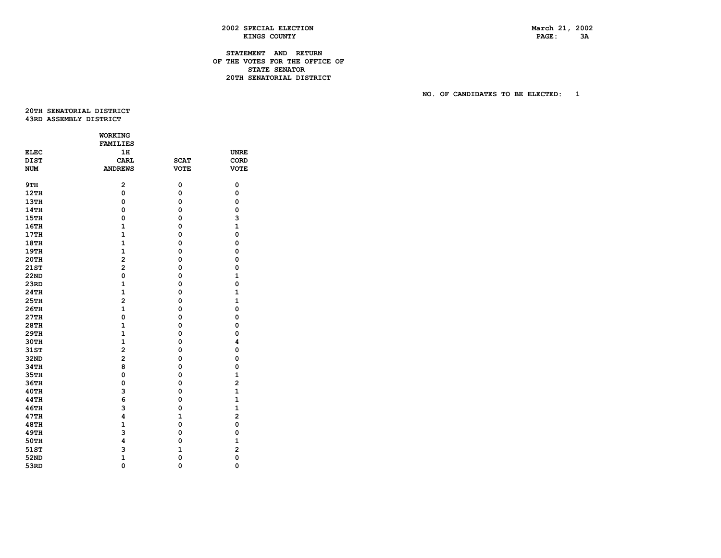PAGE: 3A

# **2002 SPECIAL ELECTION March 21, 2002 KINGS COUNTY**

# **STATEMENT AND RETURN OF THE VOTES FOR THE OFFICE OF STATE SENATOR 20TH SENATORIAL DISTRICT**

 **NO. OF CANDIDATES TO BE ELECTED: 1** 

 **20THSENATORIALDISTRICT 43RD ASSEMBLY DISTRICT** 

|             | WORKING                 |              |                         |
|-------------|-------------------------|--------------|-------------------------|
|             | <b>FAMILIES</b>         |              |                         |
| <b>ELEC</b> | 1H                      |              | <b>UNRE</b>             |
| <b>DIST</b> | <b>CARL</b>             | <b>SCAT</b>  | CORD                    |
| <b>NUM</b>  | <b>ANDREWS</b>          | <b>VOTE</b>  | <b>VOTE</b>             |
|             |                         |              |                         |
| 9TH         | 2                       | 0            | 0                       |
| 12TH        | $\mathbf 0$             | 0            | 0                       |
| <b>13TH</b> | 0                       | 0            | 0                       |
| <b>14TH</b> | 0                       | 0            | 0                       |
| 15TH        | $\mathbf 0$             | 0            | 3                       |
| 16TH        | $\mathbf{1}$            | 0            | 1                       |
| 17TH        | $\mathbf{1}$            | 0            | $\mathbf{o}$            |
| <b>18TH</b> | $\mathbf{1}$            | 0            | 0                       |
| <b>19TH</b> | $\mathbf{1}$            | 0            | 0                       |
| 20TH        | $\overline{a}$          | 0            | $\mathbf 0$             |
| 21ST        | $\overline{a}$          | 0            | 0                       |
| <b>22ND</b> | $\mathbf{o}$            | 0            | $\mathbf{1}$            |
| 23RD        | $\mathbf{1}$            | 0            | 0                       |
| 24TH        | $\mathbf{1}$            | 0            | $\mathbf{1}$            |
| 25TH        | $\overline{a}$          | 0            | $\mathbf{1}$            |
| 26TH        | $\mathbf{1}$            | 0            | $\mathbf 0$             |
| 27TH        | 0                       | 0            | 0                       |
| 28TH        | $\mathbf{1}$            | 0            | 0                       |
| 29TH        | $\mathbf{1}$            | 0            | 0                       |
| 30TH        | $\mathbf{1}$            | 0            | 4                       |
| 31ST        | $\overline{\mathbf{c}}$ | 0            | $\mathbf 0$             |
| 32ND        | $\overline{a}$          | 0            | $\mathbf 0$             |
| 34TH        | 8                       | 0            | $\mathbf 0$             |
| 35TH        | 0                       | 0            | $\mathbf{1}$            |
| 36TH        | 0                       | 0            | $\overline{2}$          |
| 40TH        | 3                       | 0            | $\mathbf{1}$            |
| <b>44TH</b> | 6                       | 0            | $\mathbf{1}$            |
| 46TH        | 3                       | 0            | $\mathbf{1}$            |
| 47TH        | 4                       | $\mathbf{1}$ | $\overline{a}$          |
| <b>48TH</b> | $\mathbf{1}$            | 0            | $\mathbf 0$             |
| <b>49TH</b> | 3                       | 0            | 0                       |
| <b>50TH</b> | 4                       | 0            | $\mathbf{1}$            |
| 51ST        | 3                       | $\mathbf{1}$ | $\overline{\mathbf{c}}$ |
| 52ND        | $\mathbf{1}$            | 0            | 0                       |
| 53RD        | $\mathbf 0$             | $\mathbf 0$  | $\mathbf 0$             |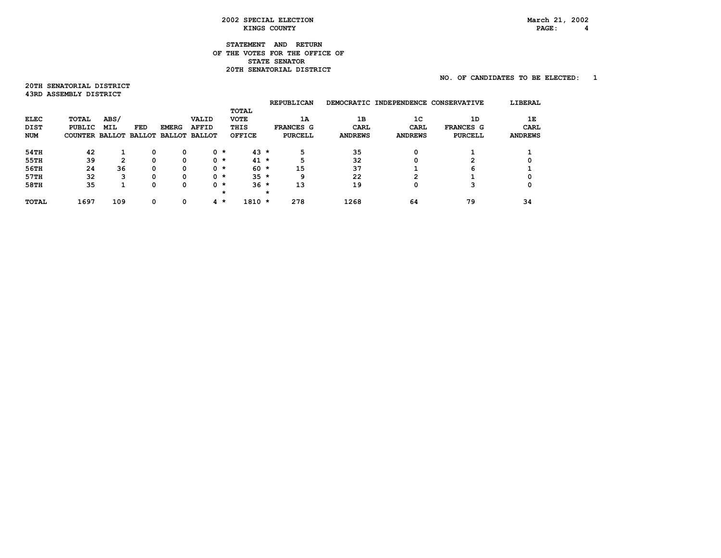# $PAGE: 4$

# **STATEMENT AND RETURN OF THE VOTES FOR THE OFFICE OF STATE SENATOR 20TH SENATORIAL DISTRICT**

# **NO. OF CANDIDATES TO BE ELECTED: 1**

**20TH SENATORIAL DISTRICT 43RD ASSEMBLY DISTRICT** 

|             |                       |            |          |              |                      |         |              |   | <b>REPUBLICAN</b> |                | DEMOCRATIC INDEPENDENCE CONSERVATIVE |                | LIBERAL        |
|-------------|-----------------------|------------|----------|--------------|----------------------|---------|--------------|---|-------------------|----------------|--------------------------------------|----------------|----------------|
|             |                       |            |          |              |                      |         | <b>TOTAL</b> |   |                   |                |                                      |                |                |
| ELEC        | TOTAL                 | ABS/       |          |              | VALID                |         | <b>VOTE</b>  |   | 1A                | 1B             | 1C                                   | 1D             | 1Е             |
| <b>DIST</b> | PUBLIC                | <b>MIL</b> | FED      | <b>EMERG</b> | <b>AFFID</b>         |         | THIS         |   | <b>FRANCES G</b>  | CARL           | CARL                                 | FRANCES G      | CARL           |
| <b>NUM</b>  | COUNTER BALLOT BALLOT |            |          |              | <b>BALLOT BALLOT</b> |         | OFFICE       |   | <b>PURCELL</b>    | <b>ANDREWS</b> | <b>ANDREWS</b>                       | <b>PURCELL</b> | <b>ANDREWS</b> |
| 54TH        | 42                    |            | 0        | 0            |                      | $0 *$   | $43 *$       |   | 5                 | 35             | 0                                    |                |                |
| 55TH        | 39                    | 2          | 0        | 0            |                      | $0$ $*$ | $41$ *       |   | 5                 | 32             | 0                                    | 2              |                |
| 56TH        | 24                    | 36         | 0        | 0            |                      | $0$ $*$ | $60 *$       |   | 15                | 37             |                                      | 6              |                |
| 57TH        | 32                    | 3          | 0        | 0            |                      | $0$ $*$ | $35 *$       |   | 9                 | 22             | 2                                    |                |                |
| 58TH        | 35                    |            | 0        | 0            |                      | $0 *$   | $36 *$       |   | 13                | 19             | 0                                    | 3              |                |
|             |                       |            |          |              |                      | *       |              | * |                   |                |                                      |                |                |
| TOTAL       | 1697                  | 109        | $\Omega$ | 0            |                      | $4 *$   | $1810 *$     |   | 278               | 1268           | 64                                   | 79             | 34             |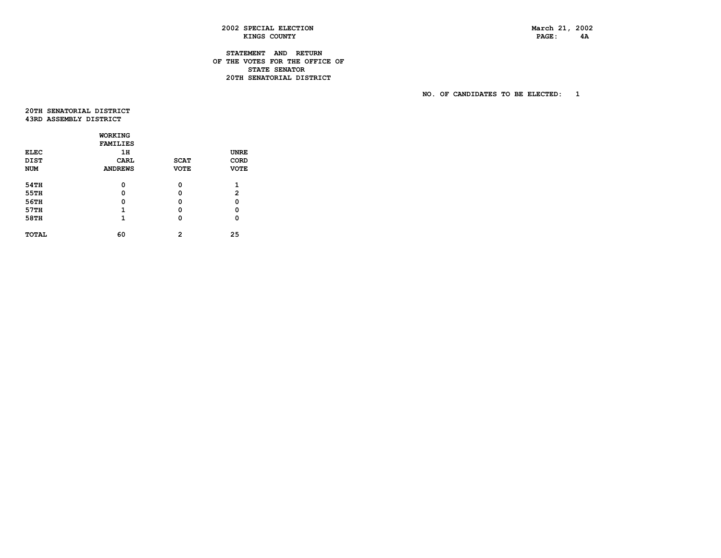PAGE: 4A

# **2002 SPECIAL ELECTION March 21, 2002**  KINGS COUNTY

# **STATEMENT AND RETURN OF THE VOTES FOR THE OFFICE OF STATE SENATOR 20TH SENATORIAL DISTRICT**

 **NO. OF CANDIDATES TO BE ELECTED: 1** 

 **20THSENATORIALDISTRICT 43RD ASSEMBLY DISTRICT** 

|              | <b>WORKING</b>  |             |              |
|--------------|-----------------|-------------|--------------|
|              | <b>FAMILIES</b> |             |              |
| <b>ELEC</b>  | 1H              |             | <b>UNRE</b>  |
| <b>DIST</b>  | CARL            | <b>SCAT</b> | CORD         |
| <b>NUM</b>   | <b>ANDREWS</b>  | <b>VOTE</b> | <b>VOTE</b>  |
| 54TH         | 0               | 0           | 1            |
| 55TH         | 0               | 0           | $\mathbf{2}$ |
| 56TH         | 0               | 0           | 0            |
| 57TH         | 1               | o           | 0            |
| 58TH         | 1               | 0           | 0            |
| <b>TOTAL</b> | 60              | 2           | 25           |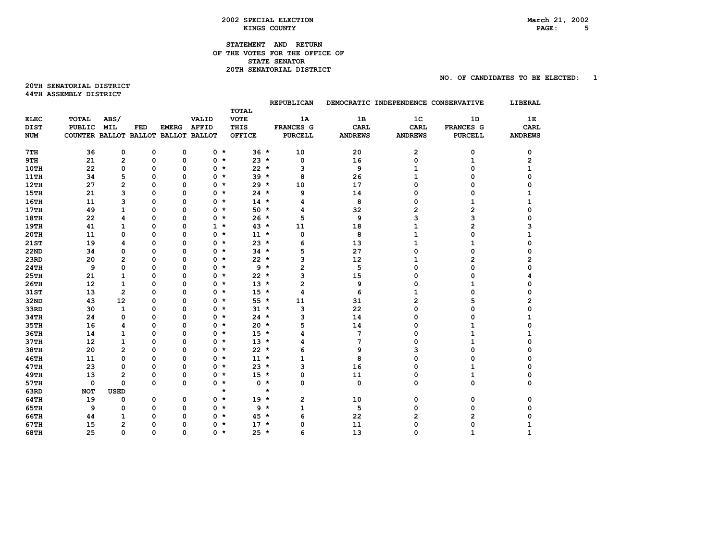# **STATEMENT AND RETURN OF THE VOTES FOR THE OFFICE OF STATE SENATOR 20TH SENATORIAL DISTRICT**

**20TH SENATORIAL DISTRICT 44TH ASSEMBLY DISTRICT** 

|             |                                     |                |          |              |              |                             |        | <b>REPUBLICAN</b>       |                | DEMOCRATIC INDEPENDENCE CONSERVATIVE |                | LIBERAL        |
|-------------|-------------------------------------|----------------|----------|--------------|--------------|-----------------------------|--------|-------------------------|----------------|--------------------------------------|----------------|----------------|
| <b>ELEC</b> | TOTAL                               | ABS/           |          |              | VALID        | <b>TOTAL</b><br><b>VOTE</b> |        | 1A                      | 1B             | 1 <sup>C</sup>                       | 1D             | 1Е             |
| <b>DIST</b> | <b>PUBLIC</b>                       | <b>MIL</b>     | FED      | <b>EMERG</b> | <b>AFFID</b> | THIS                        |        | FRANCES G               | <b>CARL</b>    | CARL                                 | FRANCES G      | CARL           |
| <b>NUM</b>  | COUNTER BALLOT BALLOT BALLOT BALLOT |                |          |              |              | <b>OFFICE</b>               |        | <b>PURCELL</b>          | <b>ANDREWS</b> | <b>ANDREWS</b>                       | <b>PURCELL</b> | <b>ANDREWS</b> |
|             |                                     |                |          |              |              |                             |        |                         |                |                                      |                |                |
| 7TH         | 36                                  | 0              | 0        | 0            | $0 *$        |                             | $36 *$ | 10                      | 20             | 2                                    | 0              | 0              |
| 9TH         | 21                                  | $\mathbf{2}$   | 0        | 0            | 0            | $\star$                     | $23 *$ | 0                       | 16             | 0                                    | 1              | 2              |
| 10TH        | 22                                  | 0              | 0        | 0            | 0            | $\star$                     | $22 *$ | 3                       | 9              | 1                                    | O              | 1              |
| <b>11TH</b> | 34                                  | 5              | 0        | 0            | 0            | $\star$                     | $39 *$ | 8                       | 26             | 1                                    | 0              | $\Omega$       |
| 12TH        | 27                                  | $\overline{2}$ | 0        | 0            | 0            | $\star$                     | $29 *$ | 10                      | 17             | 0                                    | 0              | O              |
| <b>15TH</b> | 21                                  | 3              | 0        | 0            | 0            | $\star$                     | $24 *$ | 9                       | 14             | 0                                    | 0              |                |
| <b>16TH</b> | 11                                  | 3              | 0        | 0            | 0            | $\star$                     | $14$ * | 4                       | 8              | 0                                    | 1              |                |
| 17TH        | 49                                  | $\mathbf{1}$   | 0        | 0            | 0            | $\star$                     | $50 *$ | 4                       | 32             | 2                                    | 2              | 0              |
| <b>18TH</b> | 22                                  | 4              | 0        | 0            | 0            | $\star$                     | $26 *$ | 5                       | 9              | 3                                    | 3              |                |
| <b>19TH</b> | 41                                  | $\mathbf{1}$   | 0        | 0            | $1 *$        |                             | $43*$  | 11                      | 18             | 1                                    | 2              |                |
| 20TH        | 11                                  | 0              | 0        | 0            | 0            | $\star$                     | $11 *$ | 0                       | 8              | 1                                    | 0              |                |
| <b>21ST</b> | 19                                  | 4              | 0        | $\Omega$     | 0            | $\star$                     | $23 *$ | 6                       | 13             | 1                                    | 1              |                |
| <b>22ND</b> | 34                                  | 0              | 0        | 0            | 0            | $\star$                     | $34 *$ | 5                       | 27             | 0                                    | 0              |                |
| 23RD        | 20                                  | $\overline{2}$ | 0        | 0            | 0            | $\star$                     | $22 *$ | 3                       | 12             | 1                                    | 2              |                |
| <b>24TH</b> | 9                                   | 0              | 0        | 0            | 0            | $\star$                     | $9 *$  | $\overline{\mathbf{c}}$ | 5              | 0                                    | 0              |                |
| <b>25TH</b> | 21                                  | 1              | 0        | 0            | 0            | $\star$                     | $22 *$ | 3                       | 15             | 0                                    | 0              |                |
| 26TH        | 12                                  | 1              | 0        | 0            | 0            | $\star$                     | $13 *$ | $\overline{2}$          | 9              | 0                                    | 1              |                |
| 31ST        | 13                                  | $\overline{2}$ | 0        | 0            | 0            | $\star$                     | $15 *$ | 4                       | 6              | 1                                    | 0              |                |
| 32ND        | 43                                  | 12             | 0        | 0            | 0            | $\star$                     | $55*$  | 11                      | 31             | 2                                    | 5              | 2              |
| 33RD        | 30                                  | $\mathbf{1}$   | 0        | 0            | 0            | $\star$                     | $31 *$ | 3                       | 22             | 0                                    | 0              |                |
| 34TH        | 24                                  | 0              | 0        | 0            | 0            | $\star$                     | $24 *$ | 3                       | 14             | 0                                    | 0              | 1              |
| 35TH        | 16                                  | 4              | 0        | 0            | 0            | $\star$                     | $20 *$ | 5                       | 14             | 0                                    | $\mathbf{1}$   | O              |
| 36TH        | 14                                  | 1              | 0        | 0            | 0            | $\star$                     | $15 *$ | 4                       | 7              | 0                                    | 1              |                |
| 37TH        | 12                                  | $\mathbf{1}$   | 0        | 0            | 0            | $\star$                     | $13 *$ | 4                       | 7              | 0                                    | $\mathbf{1}$   |                |
| <b>38TH</b> | 20                                  | $\overline{2}$ | 0        | 0            | 0            | $\star$                     | $22 *$ | 6                       | 9              | 3                                    | 0              |                |
| <b>46TH</b> | 11                                  | 0              | 0        | 0            | 0            | $\star$                     | $11 *$ | $\mathbf{1}$            | 8              | 0                                    | 0              |                |
| <b>47TH</b> | 23                                  | $\mathbf 0$    | 0        | 0            | 0            | $\star$                     | $23 *$ | 3                       | 16             | 0                                    | 1              |                |
| <b>49TH</b> | 13                                  | $\mathbf{2}$   | 0        | 0            | 0            | $\star$                     | $15 *$ | 0                       | 11             | 0                                    | 1              |                |
| 57TH        | 0                                   | 0              | $\Omega$ | 0            | 0            | $\star$                     | $0 *$  | 0                       | 0              | 0                                    | 0              | 0              |
| 63RD        | <b>NOT</b>                          | <b>USED</b>    |          |              |              | $\star$                     |        | $\star$                 |                |                                      |                |                |
| 64TH        | 19                                  | 0              | 0        | 0            | $0 *$        |                             | $19 *$ | $\mathbf{2}$            | 10             | 0                                    | 0              | 0              |
| <b>65TH</b> | 9                                   | 0              | 0        | 0            | 0            | $\star$                     | 9      | $\star$<br>$\mathbf{1}$ | 5              | 0                                    | 0              |                |
| 66TH        | 44                                  | 1              | 0        | 0            | 0            | $\star$                     | $45 *$ | 6                       | 22             | 2                                    | $\overline{2}$ |                |
| 67TH        | 15                                  | $\overline{2}$ | 0        | 0            | 0            | $\star$                     | $17 *$ | 0                       | 11             | 0                                    | 0              |                |
| 68TH        | 25                                  | $\Omega$       | $\Omega$ | $\Omega$     | $\Omega$     | $\star$                     | $25 *$ | 6                       | 13             | O                                    |                |                |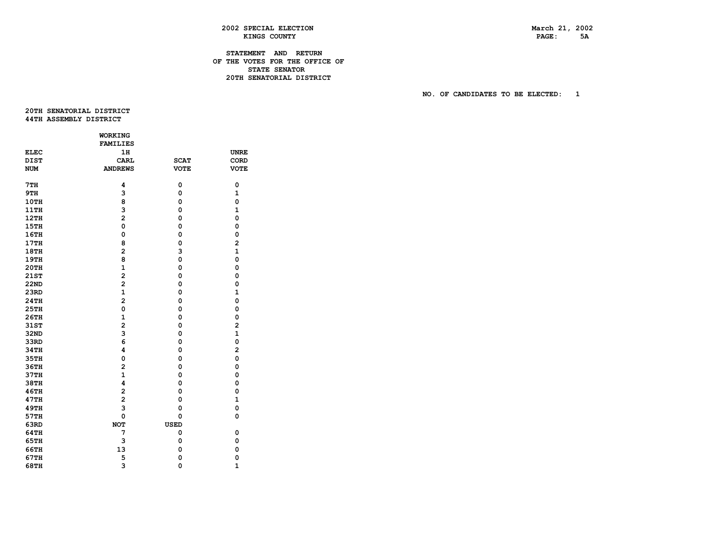PAGE: 5A

# **2002 SPECIAL ELECTION March 21, 2002 KINGS COUNTY**

# **STATEMENT AND RETURN OF THE VOTES FOR THE OFFICE OF STATE SENATOR 20TH SENATORIAL DISTRICT**

 **NO. OF CANDIDATES TO BE ELECTED: 1** 

 **20THSENATORIALDISTRICT 44TH ASSEMBLY DISTRICT** 

|             | WORKING                 |             |                |
|-------------|-------------------------|-------------|----------------|
|             | <b>FAMILIES</b>         |             |                |
| <b>ELEC</b> | 1H                      |             | <b>UNRE</b>    |
| <b>DIST</b> | <b>CARL</b>             | <b>SCAT</b> | CORD           |
| <b>NUM</b>  | <b>ANDREWS</b>          | <b>VOTE</b> | <b>VOTE</b>    |
|             |                         |             |                |
| 7TH         | 4                       | 0           | 0              |
| 9TH         | 3                       | 0           | $\mathbf{1}$   |
| 10TH        | 8                       | 0           | $\mathbf 0$    |
| 11TH        | 3                       | 0           | $\mathbf{1}$   |
| 12TH        | $\overline{a}$          | 0           | $\mathbf{o}$   |
| 15TH        | O                       | 0           | 0              |
| 16TH        | $\mathbf{o}$            | 0           | $\mathbf 0$    |
| 17TH        | 8                       | 0           | $\overline{a}$ |
| <b>18TH</b> | $\overline{a}$          | 3           | $\mathbf{1}$   |
| <b>19TH</b> | 8                       | $\mathbf 0$ | $\mathbf{o}$   |
| <b>20TH</b> | $\mathbf{1}$            | 0           | 0              |
| 21ST        | $\overline{a}$          | 0           | 0              |
| <b>22ND</b> | $\overline{\mathbf{c}}$ | 0           | 0              |
| 23RD        | $\mathbf{1}$            | 0           | $\mathbf{1}$   |
| 24TH        | $\overline{a}$          | 0           | $\mathbf 0$    |
| <b>25TH</b> | $\mathbf 0$             | 0           | $\mathbf 0$    |
| 26TH        | $\mathbf{1}$            | 0           | 0              |
| 31ST        | $\overline{a}$          | 0           | $\overline{a}$ |
| 32ND        | 3                       | 0           | $\mathbf{1}$   |
| 33RD        | 6                       | 0           | $\mathbf 0$    |
| 34TH        | 4                       | 0           | $\overline{a}$ |
| 35TH        | 0                       | 0           | $\mathbf 0$    |
| 36TH        | $\overline{2}$          | $\mathbf 0$ | $\mathbf 0$    |
| 37TH        | $\mathbf{1}$            | 0           | $\mathbf 0$    |
| 38TH        | 4                       | 0           | 0              |
| 46TH        | $\overline{\mathbf{c}}$ | 0           | 0              |
| 47TH        | $\overline{\mathbf{c}}$ | 0           | $\mathbf{1}$   |
| <b>49TH</b> | 3                       | 0           | $\mathbf 0$    |
| 57TH        | $\mathbf 0$             | 0           | $\mathbf 0$    |
| 63RD        | <b>NOT</b>              | <b>USED</b> |                |
| 64TH        | 7                       | 0           | 0              |
| 65TH        | 3                       | 0           | 0              |
| 66TH        | 13                      | $\mathbf 0$ | $\mathbf 0$    |
| 67TH        | 5                       | 0           | 0              |
| 68TH        | 3                       | $\mathbf 0$ | $\mathbf{1}$   |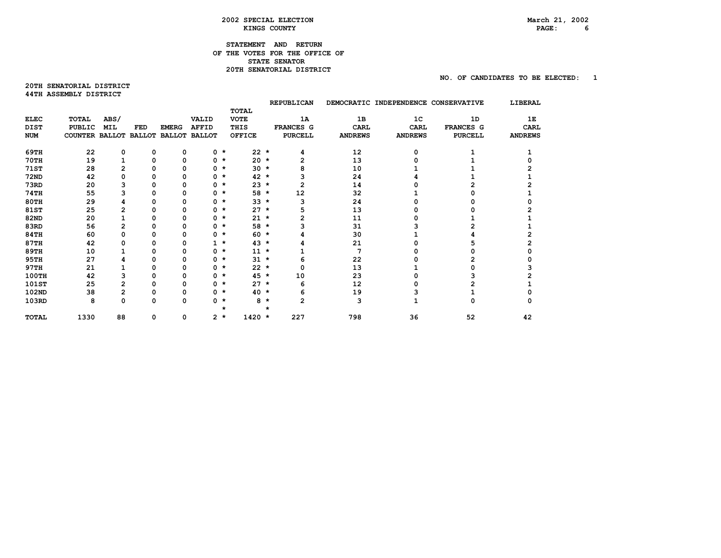# PAGE: 6

 **NO. OF CANDIDATES TO BE ELECTED: 1** 

# **STATEMENT AND RETURN OF THE VOTES FOR THE OFFICE OF STATE SENATOR 20TH SENATORIAL DISTRICT**

#### **20TH SENATORIAL DISTRICT 44TH ASSEMBLY DISTRICT**

|              |                                     |                |          |              |                       |              |              |              | <b>REPUBLICAN</b> |                | DEMOCRATIC INDEPENDENCE CONSERVATIVE |                | LIBERAL        |
|--------------|-------------------------------------|----------------|----------|--------------|-----------------------|--------------|--------------|--------------|-------------------|----------------|--------------------------------------|----------------|----------------|
|              |                                     |                |          |              |                       |              | <b>TOTAL</b> |              |                   |                |                                      |                |                |
| <b>ELEC</b>  | TOTAL                               | ABS/           |          |              | VALID                 |              | <b>VOTE</b>  |              | 1A                | 1B             | 1 <sub>C</sub>                       | 1D             | 1Е             |
| DIST         | <b>PUBLIC</b>                       | <b>MIL</b>     | FED      | <b>EMERG</b> | <b>AFFID</b>          |              | THIS         |              | FRANCES G         | <b>CARL</b>    | <b>CARL</b>                          | FRANCES G      | <b>CARL</b>    |
| <b>NUM</b>   | COUNTER BALLOT BALLOT BALLOT BALLOT |                |          |              |                       |              | OFFICE       |              | <b>PURCELL</b>    | <b>ANDREWS</b> | <b>ANDREWS</b>                       | <b>PURCELL</b> | <b>ANDREWS</b> |
| 69TH         | 22                                  | 0              | 0        | 0            |                       | $0 *$        | $22 *$       |              | 4                 | 12             | 0                                    |                |                |
| <b>70TH</b>  | 19                                  |                | 0        | 0            |                       | $0 *$        | $20 *$       |              | 2                 | 13             |                                      |                |                |
| <b>71ST</b>  | 28                                  | 2              | n        | 0            |                       | $0 *$        | $30 *$       |              |                   | 10             |                                      |                |                |
| <b>72ND</b>  | 42                                  | 0              |          | 0            |                       | $0 *$        | $42 *$       |              |                   | 24             |                                      |                |                |
| 73RD         | 20                                  | 3              | 0        | 0            |                       | $0 *$        | $23 *$       |              | 2                 | 14             |                                      |                |                |
| <b>74TH</b>  | 55                                  | 3              |          | 0            |                       | $0 *$        | 58 *         |              | 12                | 32             |                                      |                |                |
| 80TH         | 29                                  | 4              |          | 0            |                       | $0 *$        | $33 *$       |              | 3                 | 24             |                                      |                |                |
| 81ST         | 25                                  | 2              | n        | Ω            |                       | $0 *$        | $27 *$       |              | 5                 | 13             |                                      |                |                |
| 82ND         | 20                                  |                |          | O            |                       | $0 *$        | $21$ *       |              |                   | 11             |                                      |                |                |
| 83RD         | 56                                  | 2              | 0        | 0            |                       | $0 *$        | 58 *         |              |                   | 31             |                                      |                |                |
| <b>84TH</b>  | 60                                  | 0              |          | 0            |                       | $0 *$        | $60 *$       |              |                   | 30             |                                      |                |                |
| 87TH         | 42                                  | 0              |          |              |                       | $1 *$        | $43 *$       |              |                   | 21             |                                      |                |                |
| 89TH         | 10                                  |                |          | 0            | 0                     | $\star$      | $11 *$       |              |                   | 7              |                                      |                |                |
| 95TH         | 27                                  | 4              | O        | O            |                       | $0 *$        | $31 *$       |              | 6                 | 22             |                                      |                |                |
| 97TH         | 21                                  |                | 0        | 0            |                       | $0 *$        | $22 *$       |              | 0                 | 13             |                                      |                |                |
| <b>100TH</b> | 42                                  | 3              | 0        | 0            |                       | $0 *$        | $45 *$       |              | 10                | 23             |                                      |                |                |
| 101ST        | 25                                  | $\overline{c}$ |          | Ω            |                       | $0 *$        | $27$ *       |              | 6                 | 12             |                                      |                |                |
| 102ND        | 38                                  | 2              |          | 0            |                       | $0 *$        | $40 *$       |              | 6                 | 19             |                                      |                |                |
| 103RD        | 8                                   | 0              | $\Omega$ | 0            | 0                     | *<br>$\star$ | 8            | $\star$<br>* | $\overline{2}$    | 3              |                                      | 0              |                |
| <b>TOTAL</b> | 1330                                | 88             | 0        | 0            | $\mathbf{2}^{\prime}$ | $\star$      | $1420 *$     |              | 227               | 798            | 36                                   | 52             | 42             |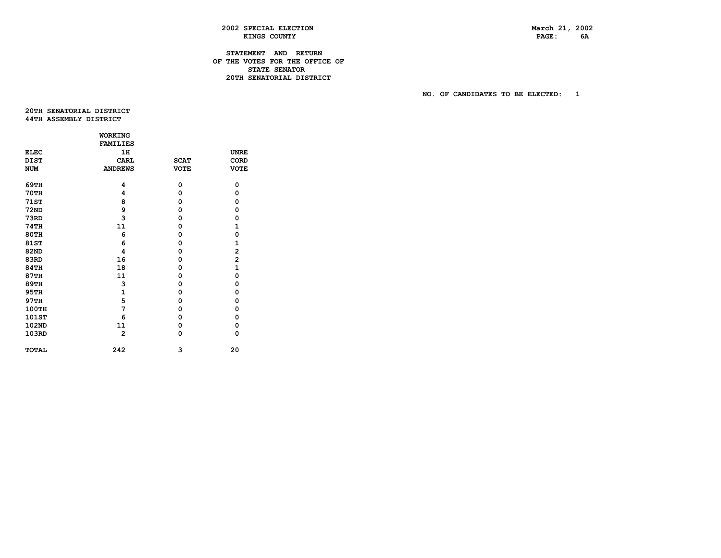PAGE: 6A

# **2002 SPECIAL ELECTION March 21, 2002 KINGS COUNTY**

# **STATEMENT AND RETURN OF THE VOTES FOR THE OFFICE OF STATE SENATOR 20TH SENATORIAL DISTRICT**

 **NO. OF CANDIDATES TO BE ELECTED: 1** 

 **20THSENATORIALDISTRICT 44TH ASSEMBLY DISTRICT** 

|              | <b>WORKING</b>  |             |                         |
|--------------|-----------------|-------------|-------------------------|
|              | <b>FAMILIES</b> |             |                         |
| <b>ELEC</b>  | 1H              |             | <b>UNRE</b>             |
| <b>DIST</b>  | <b>CARL</b>     | <b>SCAT</b> | CORD                    |
| <b>NUM</b>   | <b>ANDREWS</b>  | <b>VOTE</b> | <b>VOTE</b>             |
| 69TH         | 4               | 0           | 0                       |
| <b>70TH</b>  | 4               | 0           | 0                       |
| <b>71ST</b>  | 8               | 0           | 0                       |
| <b>72ND</b>  | 9               | 0           | 0                       |
| 73RD         | 3               | 0           | 0                       |
| <b>74TH</b>  | 11              | 0           | 1                       |
| <b>80TH</b>  | 6               | 0           | $\mathbf 0$             |
| 81ST         | 6               | 0           | $\mathbf{1}$            |
| 82ND         | 4               | 0           | $\overline{a}$          |
| 83RD         | 16              | 0           | $\overline{\mathbf{c}}$ |
| <b>84TH</b>  | 18              | 0           | $\mathbf{1}$            |
| 87TH         | 11              | 0           | $\mathbf 0$             |
| <b>89TH</b>  | з               | 0           | 0                       |
| <b>95TH</b>  | $\mathbf{1}$    | 0           | 0                       |
| 97TH         | 5               | 0           | 0                       |
| 100TH        | 7               | 0           | 0                       |
| 101ST        | 6               | 0           | 0                       |
| 102ND        | 11              | 0           | 0                       |
| 103RD        | $\overline{2}$  | 0           | 0                       |
| <b>TOTAL</b> | 242             | 3           | 20                      |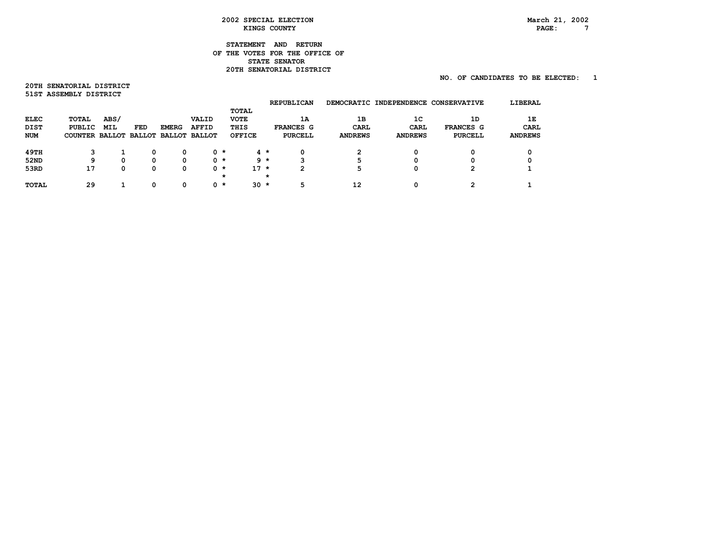# **STATEMENT AND RETURN OF THE VOTES FOR THE OFFICE OF STATE SENATOR 20TH SENATORIAL DISTRICT**

# **NO. OF CANDIDATES TO BE ELECTED: 1**

**20TH SENATORIAL DISTRICT 51STASSEMBLYDISTRICT** 

| 1Е             |
|----------------|
| CARL           |
| <b>ANDREWS</b> |
|                |
|                |
|                |
|                |
|                |
|                |
|                |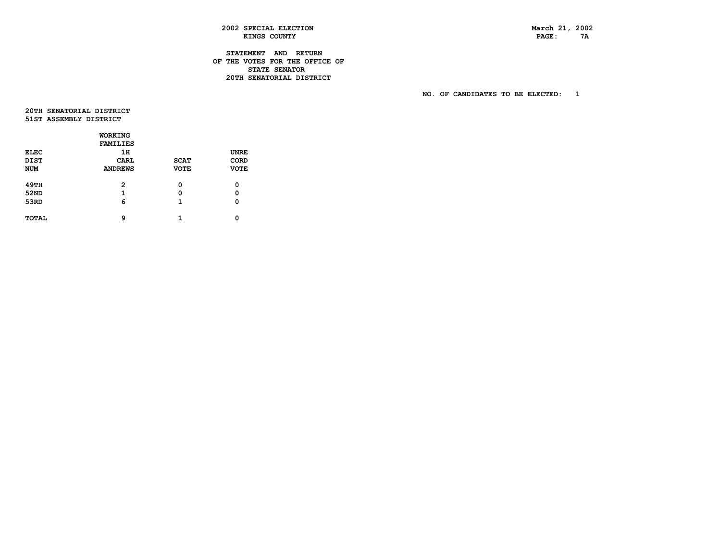PAGE: 7A

# **2002 SPECIAL ELECTION March 21, 2002**  KINGS COUNTY

# **STATEMENT AND RETURN OF THE VOTES FOR THE OFFICE OF STATE SENATOR 20TH SENATORIAL DISTRICT**

 **NO. OF CANDIDATES TO BE ELECTED: 1** 

 **20THSENATORIALDISTRICT 51STASSEMBLYDISTRICT** 

|             | WORKING         |             |             |
|-------------|-----------------|-------------|-------------|
|             | <b>FAMILIES</b> |             |             |
| <b>ELEC</b> | 1H              |             | <b>UNRE</b> |
| <b>DIST</b> | CARL            | <b>SCAT</b> | CORD        |
| <b>NUM</b>  | <b>ANDREWS</b>  | <b>VOTE</b> | <b>VOTE</b> |
|             |                 |             |             |
| 49TH        | $\overline{2}$  | 0           | 0           |
| 52ND        | 1               | 0           | 0           |
| 53RD        | 6               | 1           | 0           |
|             |                 |             |             |
| TOTAL       | ٩               | 1           | O           |
|             |                 |             |             |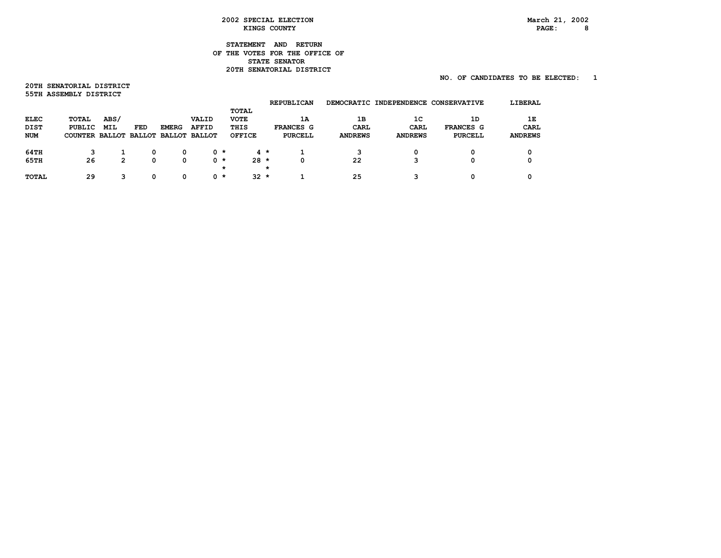# PAGE: 8

# **STATEMENT AND RETURN OF THE VOTES FOR THE OFFICE OF STATE SENATOR 20TH SENATORIAL DISTRICT**

# **NO. OF CANDIDATES TO BE ELECTED: 1**

**20TH SENATORIAL DISTRICT 55TH ASSEMBLY DISTRICT** 

|             |                                     |      |     |              |       |         |               |         | <b>REPUBLICAN</b> |                | DEMOCRATIC INDEPENDENCE CONSERVATIVE |           | LIBERAL        |
|-------------|-------------------------------------|------|-----|--------------|-------|---------|---------------|---------|-------------------|----------------|--------------------------------------|-----------|----------------|
|             |                                     |      |     |              |       |         | TOTAL         |         |                   |                |                                      |           |                |
| ELEC        | TOTAL                               | ABS/ |     |              | VALID |         | <b>VOTE</b>   |         | 1A                | 1B             | 1C                                   | 1D        | 1E             |
| <b>DIST</b> | PUBLIC                              | MIL  | FED | <b>EMERG</b> | AFFID |         | THIS          |         | FRANCES G         | CARL           | <b>CARL</b>                          | FRANCES G | CARL           |
| <b>NUM</b>  | COUNTER BALLOT BALLOT BALLOT BALLOT |      |     |              |       |         | <b>OFFICE</b> |         | PURCELL           | <b>ANDREWS</b> | <b>ANDREWS</b>                       | PURCELL   | <b>ANDREWS</b> |
|             |                                     |      |     |              |       |         |               |         |                   |                |                                      |           |                |
| 64TH        | 3                                   |      | 0   | 0            | 0 *   |         |               | $4 *$   |                   | 3              | 0                                    | 0         |                |
| 65TH        | 26                                  | 2    | 0   | 0            |       | 0 *     | $28 *$        |         | 0                 | 22             | 3                                    | 0         |                |
|             |                                     |      |     |              |       | $\star$ |               | $\star$ |                   |                |                                      |           |                |
| TOTAL       | 29                                  | 3    | O   | 0            |       | 0 *     | $32 \star$    |         |                   | 25             | ິ                                    | O         |                |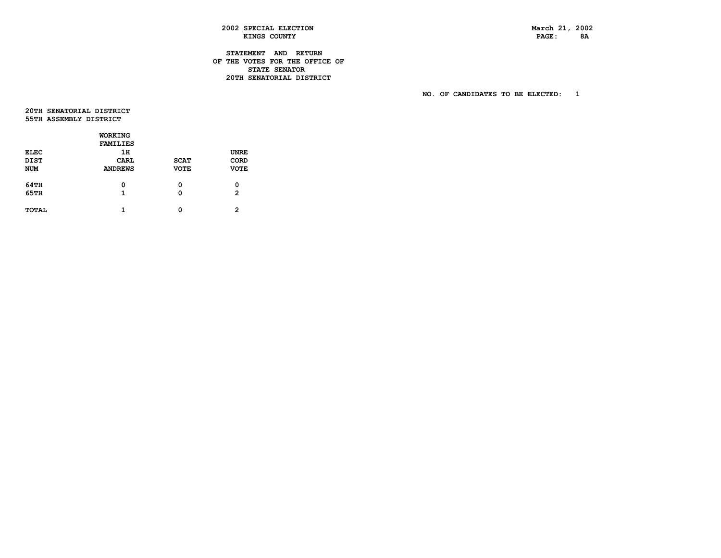PAGE: 8A

 **2002 SPECIAL ELECTION March 21, 2002 KINGS COUNTY** 

# **STATEMENT AND RETURN OF THE VOTES FOR THE OFFICE OF STATE SENATOR 20TH SENATORIAL DISTRICT**

 **NO. OF CANDIDATES TO BE ELECTED: 1** 

 **20THSENATORIALDISTRICT 55TH ASSEMBLY DISTRICT** 

|             | WORKING         |             |                |
|-------------|-----------------|-------------|----------------|
|             | <b>FAMILIES</b> |             |                |
| <b>ELEC</b> | 1H              |             | <b>UNRE</b>    |
| <b>DIST</b> | CARL            | <b>SCAT</b> | CORD           |
| <b>NUM</b>  | <b>ANDREWS</b>  | <b>VOTE</b> | <b>VOTE</b>    |
|             |                 |             |                |
| 64TH        | 0               | 0           | 0              |
| 65TH        | 1               | 0           | $\mathbf{2}$   |
|             |                 |             |                |
| TOTAL       | 1               | 0           | $\mathfrak{p}$ |
|             |                 |             |                |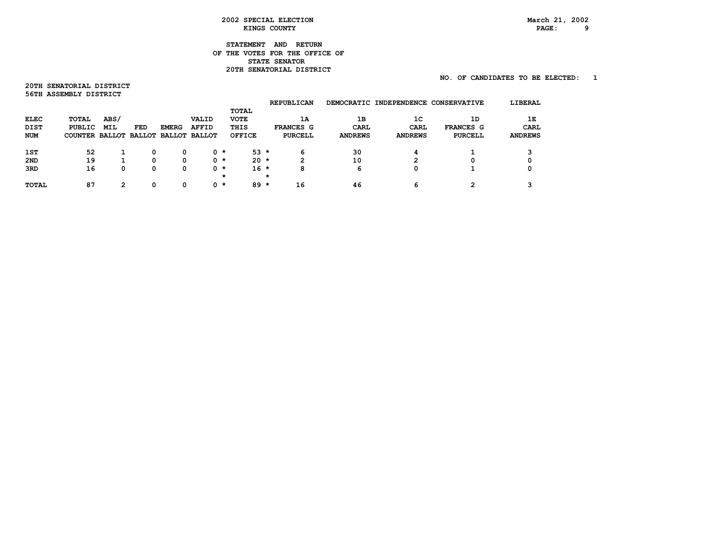# PAGE: 9

# **STATEMENT AND RETURN OF THE VOTES FOR THE OFFICE OF STATE SENATOR 20TH SENATORIAL DISTRICT**

# **NO. OF CANDIDATES TO BE ELECTED: 1**

**20TH SENATORIAL DISTRICT 56TH ASSEMBLY DISTRICT** 

|                 |                                     |      |     |              |       |     |               |         | <b>REPUBLICAN</b> |                | DEMOCRATIC INDEPENDENCE | <b>CONSERVATIVE</b> | LIBERAL        |
|-----------------|-------------------------------------|------|-----|--------------|-------|-----|---------------|---------|-------------------|----------------|-------------------------|---------------------|----------------|
|                 |                                     |      |     |              |       |     | TOTAL         |         |                   |                |                         |                     |                |
| ELEC            | TOTAL                               | ABS/ |     |              | VALID |     | <b>VOTE</b>   |         | 1A                | 1B             | 1 <sup>C</sup>          | 1D                  | 1Е             |
| <b>DIST</b>     | PUBLIC                              | MIL  | FED | <b>EMERG</b> | AFFID |     | THIS          |         | FRANCES G         | CARL           | CARL                    | FRANCES G           | CARL           |
| <b>NUM</b>      | COUNTER BALLOT BALLOT BALLOT BALLOT |      |     |              |       |     | <b>OFFICE</b> |         | <b>PURCELL</b>    | <b>ANDREWS</b> | <b>ANDREWS</b>          | <b>PURCELL</b>      | <b>ANDREWS</b> |
|                 |                                     |      |     |              |       |     |               |         |                   |                |                         |                     |                |
| 1ST             | 52                                  |      | 0   | 0            |       | 0 * | $53 *$        |         | 6                 | 30             | 4                       |                     |                |
| 2 <sub>ND</sub> | 19                                  |      | O   | 0            |       | 0 * | $20 \star$    |         | 2                 | 10             | 2                       | 0                   |                |
| 3RD             | 16                                  | 0    | 0   | 0            |       | 0 * | $16 *$        |         | 8                 | 6              | 0                       |                     |                |
|                 |                                     |      |     |              |       | *   |               | $\star$ |                   |                |                         |                     |                |
| TOTAL           | 87                                  | 2    | O   | 0            |       | 0 * | $89 *$        |         | 16                | 46             | 6                       | <b>っ</b>            |                |
|                 |                                     |      |     |              |       |     |               |         |                   |                |                         |                     |                |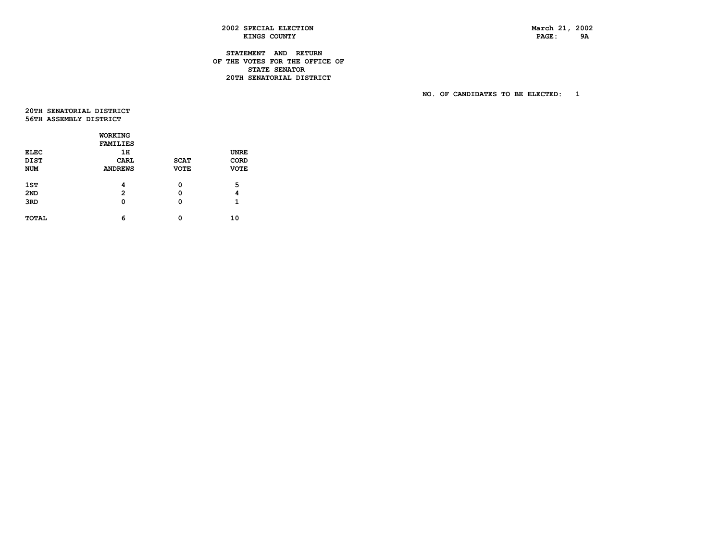PAGE: 9A

# **2002 SPECIAL ELECTION March 21, 2002 KINGS COUNTY**

# **STATEMENT AND RETURN OF THE VOTES FOR THE OFFICE OF STATE SENATOR 20TH SENATORIAL DISTRICT**

 **NO. OF CANDIDATES TO BE ELECTED: 1** 

 **20THSENATORIALDISTRICT 56TH ASSEMBLY DISTRICT** 

|                 | WORKING         |             |             |
|-----------------|-----------------|-------------|-------------|
|                 | <b>FAMILIES</b> |             |             |
| <b>ELEC</b>     | 1H              |             | <b>UNRE</b> |
| DIST            | CARL            | <b>SCAT</b> | CORD        |
| <b>NUM</b>      | <b>ANDREWS</b>  | <b>VOTE</b> | <b>VOTE</b> |
|                 |                 |             |             |
| 1ST             | 4               | 0           | 5           |
| 2 <sub>ND</sub> | $\overline{2}$  | 0           | 4           |
| 3RD             | 0               | 0           | 1           |
|                 |                 |             |             |
| TOTAL           | 6               | 0           | 10          |
|                 |                 |             |             |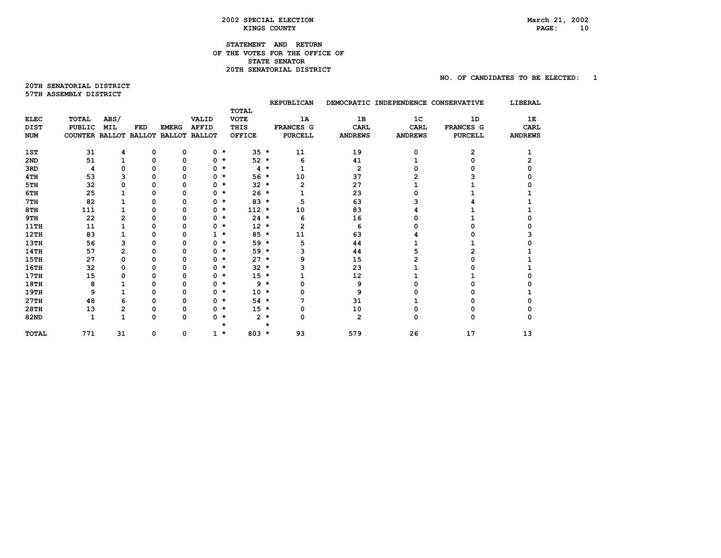# **STATEMENT AND RETURN OF THE VOTES FOR THE OFFICE OF STATE SENATOR 20TH SENATORIAL DISTRICT**

**20TH SENATORIAL DISTRICT 57TH ASSEMBLY DISTRICT** 

|              |                       |            |             |              |                      |               |         |   | <b>REPUBLICAN</b> |                | DEMOCRATIC INDEPENDENCE CONSERVATIVE |                | LIBERAL        |
|--------------|-----------------------|------------|-------------|--------------|----------------------|---------------|---------|---|-------------------|----------------|--------------------------------------|----------------|----------------|
|              |                       |            |             |              |                      | <b>TOTAL</b>  |         |   |                   |                |                                      |                |                |
| <b>ELEC</b>  | <b>TOTAL</b>          | ABS/       |             |              | <b>VALID</b>         | <b>VOTE</b>   |         |   | 1A                | 1B             | 1 <sup>C</sup>                       | 1D             | 1E             |
| <b>DIST</b>  | <b>PUBLIC</b>         | <b>MIL</b> | FED         | <b>EMERG</b> | <b>AFFID</b>         | THIS          |         |   | <b>FRANCES G</b>  | <b>CARL</b>    | <b>CARL</b>                          | FRANCES G      | <b>CARL</b>    |
| <b>NUM</b>   | COUNTER BALLOT BALLOT |            |             |              | <b>BALLOT BALLOT</b> | <b>OFFICE</b> |         |   | <b>PURCELL</b>    | <b>ANDREWS</b> | <b>ANDREWS</b>                       | <b>PURCELL</b> | <b>ANDREWS</b> |
| 1ST          | 31                    | 4          | 0           | 0            | $0 *$                |               | $35 *$  |   | 11                | 19             | 0                                    | $\mathbf{2}$   |                |
| 2ND          | 51                    |            | 0           | $\mathbf 0$  | $0 *$                |               | $52 *$  |   | 6                 | 41             |                                      |                |                |
| 3RD          | 4                     | 0          | n           | O            | $0 *$                |               | $4 *$   |   |                   | $\mathbf{2}$   |                                      |                |                |
| 4TH          | 53                    | 3          | O           | 0            | $0 *$                |               | $56*$   |   | 10                | 37             |                                      |                |                |
| 5TH          | 32                    | 0          | O           | 0            | $0 *$                |               | $32 *$  |   | 2                 | 27             |                                      |                |                |
| 6TH          | 25                    |            | n           | $\Omega$     | 0                    | $\star$       | $26 *$  |   |                   | 23             |                                      |                |                |
| 7TH          | 82                    |            | O           | 0            | $0 *$                |               | $83 *$  |   | 5                 | 63             |                                      |                |                |
| 8TH          | 111                   |            | n           | 0            | $0 *$                |               | $112 *$ |   | 10                | 83             |                                      |                |                |
| 9TH          | 22                    | 2          | 0           | 0            | $0 *$                |               | $24$ *  |   | 6                 | 16             |                                      |                |                |
| 11TH         | 11                    |            | O           | O            | 0                    | $\star$       | $12 *$  |   | $\overline{2}$    | 6              |                                      |                |                |
| 12TH         | 83                    |            | o           | 0            | $1 \star$            |               | $85 *$  |   | 11                | 63             |                                      |                |                |
| <b>13TH</b>  | 56                    | 3          | n           | 0            | 0                    | *             | 59 *    |   | 5                 | 44             |                                      |                |                |
| <b>14TH</b>  | 57                    | 2          | O           | O            | $0 *$                |               | $59 *$  |   | 3                 | 44             |                                      |                |                |
| <b>15TH</b>  | 27                    | 0          | O           | 0            | $0 *$                |               | $27 *$  |   | 9                 | 15             |                                      |                |                |
| <b>16TH</b>  | 32                    | 0          | n           | 0            | $0 *$                |               | $32 *$  |   |                   | 23             |                                      |                |                |
| 17TH         | 15                    | 0          | 0           | $\mathbf 0$  | $0 *$                |               | $15 *$  |   |                   | 12             |                                      |                |                |
| <b>18TH</b>  | 8                     |            |             | O            | 0                    | $\star$       | $9 *$   |   |                   | 9              |                                      |                |                |
| 19TH         | 9                     |            | O           | 0            | $0 *$                |               | $10 *$  |   |                   | 9              |                                      |                |                |
| 27TH         | 48                    | 6          | O           | 0            | $0 *$                |               | $54 *$  |   |                   | 31             |                                      |                |                |
| 28TH         | 13                    | 2          | n           | 0            | $0 *$                |               | $15 *$  |   | 0                 | 10             |                                      |                |                |
| 82ND         | 1                     | 1          | $\Omega$    | $\Omega$     | $0 *$                |               | $2 *$   |   | 0                 | $\overline{2}$ | n                                    | n              |                |
|              |                       |            |             |              |                      | $\star$       |         | * |                   |                |                                      |                |                |
| <b>TOTAL</b> | 771                   | 31         | $\mathbf 0$ | 0            | 1                    | $\star$       | $803 *$ |   | 93                | 579            | 26                                   | 17             | 13             |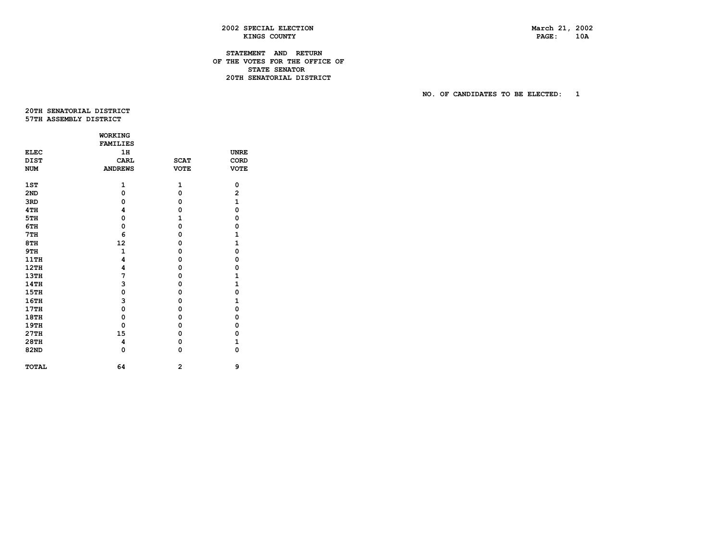PAGE: 10A

# **2002 SPECIAL ELECTION March 21, 2002 KINGS COUNTY**

# **STATEMENT AND RETURN OF THE VOTES FOR THE OFFICE OF STATE SENATOR 20TH SENATORIAL DISTRICT**

 **NO. OF CANDIDATES TO BE ELECTED: 1** 

 **20THSENATORIALDISTRICT 57TH ASSEMBLY DISTRICT** 

|              | <b>WORKING</b>  |                |                         |
|--------------|-----------------|----------------|-------------------------|
|              | <b>FAMILIES</b> |                |                         |
| <b>ELEC</b>  | 1H              |                | <b>UNRE</b>             |
| <b>DIST</b>  | CARL            | <b>SCAT</b>    | CORD                    |
| <b>NUM</b>   | <b>ANDREWS</b>  | <b>VOTE</b>    | <b>VOTE</b>             |
|              |                 |                |                         |
| 1ST          | $\mathbf{1}$    | 1              | 0                       |
| 2ND          | 0               | 0              | $\overline{\mathbf{c}}$ |
| 3RD          | 0               | 0              | $\mathbf{1}$            |
| 4TH          | 4               | 0              | 0                       |
| 5TH          | $\Omega$        | $\mathbf{1}$   | $\mathbf 0$             |
| 6TH          | 0               | 0              | $\mathbf 0$             |
| 7TH          | 6               | 0              | 1                       |
| 8TH          | 12              | 0              | $\mathbf{1}$            |
| 9TH          | $\mathbf{1}$    | 0              | 0                       |
| 11TH         | 4               | 0              | 0                       |
| 12TH         | 4               | 0              | 0                       |
| 13TH         | 7               | 0              | 1                       |
| 14TH         | 3               | 0              | 1                       |
| <b>15TH</b>  | $\mathbf 0$     | 0              | $\mathbf 0$             |
| 16TH         | 3               | 0              | $\mathbf{1}$            |
| 17TH         | 0               | 0              | 0                       |
| 18TH         | $\mathbf 0$     | 0              | $\mathbf 0$             |
| 19TH         | 0               | 0              | 0                       |
| 27TH         | 15              | 0              | 0                       |
| 28TH         | 4               | 0              | $\mathbf{1}$            |
| 82ND         | 0               | 0              | 0                       |
| <b>TOTAL</b> | 64              | $\overline{a}$ | 9                       |
|              |                 |                |                         |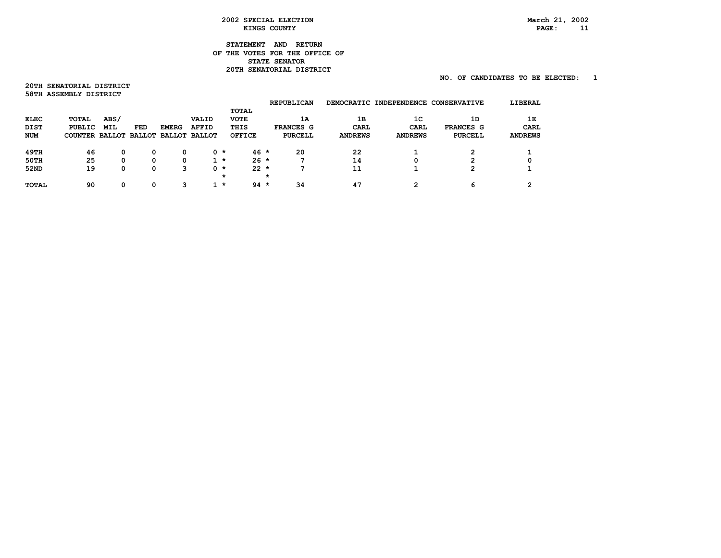# **STATEMENT AND RETURN OF THE VOTES FOR THE OFFICE OF STATE SENATOR 20TH SENATORIAL DISTRICT**

# **NO. OF CANDIDATES TO BE ELECTED: 1**

**20TH SENATORIAL DISTRICT 58TH ASSEMBLY DISTRICT** 

|       |      |        |              |       |                                               |                                |         |                                     |                                |                |                | LIBERAL                                        |
|-------|------|--------|--------------|-------|-----------------------------------------------|--------------------------------|---------|-------------------------------------|--------------------------------|----------------|----------------|------------------------------------------------|
|       |      |        |              |       |                                               | TOTAL                          |         |                                     |                                |                |                |                                                |
| TOTAL | ABS/ |        |              | VALID |                                               | <b>VOTE</b>                    |         | 1A                                  | 1B                             | 1 <sup>C</sup> | 1D             | 1Е                                             |
|       | MIL  | FED    | <b>EMERG</b> | AFFID |                                               | THIS                           |         |                                     | CARL                           | <b>CARL</b>    | FRANCES G      | CARL                                           |
|       |      |        |              |       |                                               | <b>OFFICE</b>                  |         | <b>PURCELL</b>                      | <b>ANDREWS</b>                 | <b>ANDREWS</b> | <b>PURCELL</b> | <b>ANDREWS</b>                                 |
|       |      |        |              |       |                                               |                                |         |                                     |                                |                |                |                                                |
| 46    | 0    | 0      |              |       |                                               |                                |         | 20                                  | 22                             |                | $\mathbf{2}$   |                                                |
| 25    | 0    | O      |              |       |                                               |                                |         |                                     | 14                             | 0              | 2              |                                                |
| 19    | 0    | 0      | з            |       |                                               |                                |         |                                     | 11                             |                | $\mathbf{2}$   |                                                |
|       |      |        |              |       | *                                             |                                | $\star$ |                                     |                                |                |                |                                                |
| 90    | 0    | O      | З            |       |                                               |                                |         | 34                                  | 47                             | ົ              | 6              | ົ                                              |
|       |      | PUBLIC |              |       | COUNTER BALLOT BALLOT BALLOT BALLOT<br>0<br>0 | 0 *<br>$1 \star$<br>0 *<br>1 * |         | $46*$<br>$26 *$<br>$22 *$<br>$94 *$ | <b>REPUBLICAN</b><br>FRANCES G |                |                | DEMOCRATIC INDEPENDENCE<br><b>CONSERVATIVE</b> |